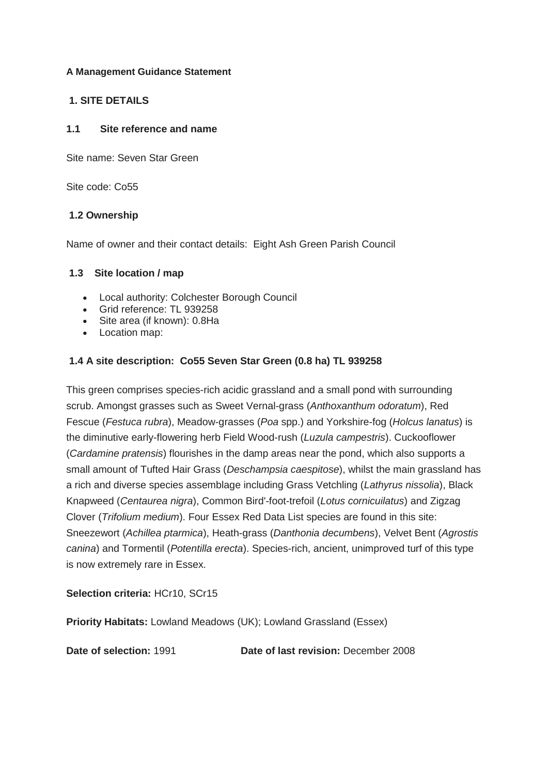## **A Management Guidance Statement**

# **1. SITE DETAILS**

#### **1.1 Site reference and name**

Site name: Seven Star Green

Site code: Co55

## **1.2 Ownership**

Name of owner and their contact details: Eight Ash Green Parish Council

## **1.3 Site location / map**

- Local authority: Colchester Borough Council
- Grid reference: TL 939258
- Site area (if known): 0.8Ha
- Location map:

## **1.4 A site description: Co55 Seven Star Green (0.8 ha) TL 939258**

This green comprises species-rich acidic grassland and a small pond with surrounding scrub. Amongst grasses such as Sweet Vernal-grass (*Anthoxanthum odoratum*), Red Fescue (*Festuca rubra*), Meadow-grasses (*Poa* spp.) and Yorkshire-fog (*Holcus lanatus*) is the diminutive early-flowering herb Field Wood-rush (*Luzula campestris*). Cuckooflower (*Cardamine pratensis*) flourishes in the damp areas near the pond, which also supports a small amount of Tufted Hair Grass (*Deschampsia caespitose*), whilst the main grassland has a rich and diverse species assemblage including Grass Vetchling (*Lathyrus nissolia*), Black Knapweed (*Centaurea nigra*), Common Bird'-foot-trefoil (*Lotus cornicuilatus*) and Zigzag Clover (*Trifolium medium*). Four Essex Red Data List species are found in this site: Sneezewort (*Achillea ptarmica*), Heath-grass (*Danthonia decumbens*), Velvet Bent (*Agrostis canina*) and Tormentil (*Potentilla erecta*). Species-rich, ancient, unimproved turf of this type is now extremely rare in Essex.

**Selection criteria:** HCr10, SCr15

**Priority Habitats:** Lowland Meadows (UK); Lowland Grassland (Essex)

**Date of selection:** 1991 **Date of last revision:** December 2008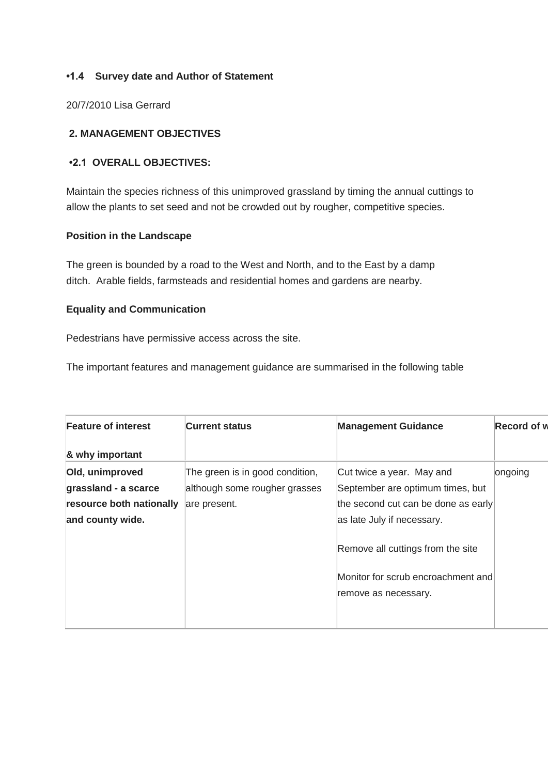### **•1.4 Survey date and Author of Statement**

20/7/2010 Lisa Gerrard

## **2. MANAGEMENT OBJECTIVES**

## **•2.1 OVERALL OBJECTIVES:**

Maintain the species richness of this unimproved grassland by timing the annual cuttings to allow the plants to set seed and not be crowded out by rougher, competitive species.

#### **Position in the Landscape**

The green is bounded by a road to the West and North, and to the East by a damp ditch. Arable fields, farmsteads and residential homes and gardens are nearby.

#### **Equality and Communication**

Pedestrians have permissive access across the site.

The important features and management guidance are summarised in the following table

| <b>Feature of interest</b> | <b>Current status</b>           | <b>Management Guidance</b>          | Record of w |
|----------------------------|---------------------------------|-------------------------------------|-------------|
| & why important            |                                 |                                     |             |
| Old, unimproved            | The green is in good condition, | Cut twice a year. May and           | ongoing     |
| grassland - a scarce       | although some rougher grasses   | September are optimum times, but    |             |
| resource both nationally   | are present.                    | the second cut can be done as early |             |
| and county wide.           |                                 | as late July if necessary.          |             |
|                            |                                 | Remove all cuttings from the site   |             |
|                            |                                 | Monitor for scrub encroachment and  |             |
|                            |                                 | remove as necessary.                |             |
|                            |                                 |                                     |             |
|                            |                                 |                                     |             |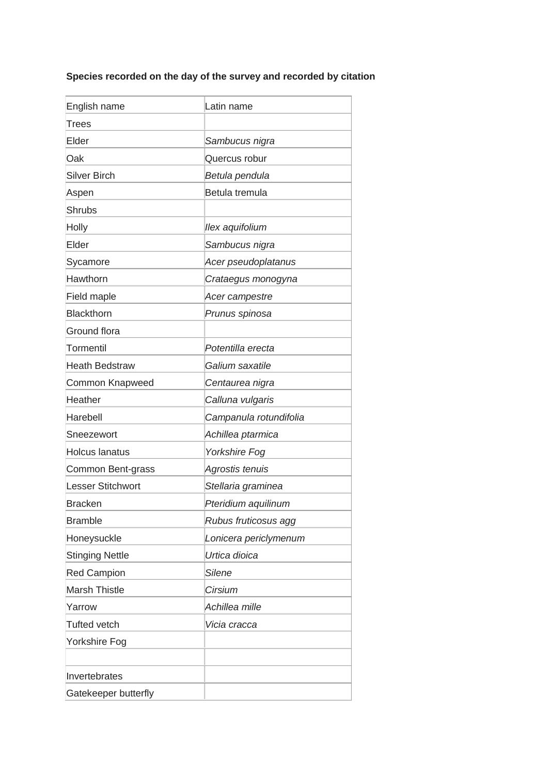# **Species recorded on the day of the survey and recorded by citation**

| English name             | Latin name             |
|--------------------------|------------------------|
| Trees                    |                        |
| Elder                    | Sambucus nigra         |
| Oak                      | Quercus robur          |
| <b>Silver Birch</b>      | Betula pendula         |
| Aspen                    | Betula tremula         |
| <b>Shrubs</b>            |                        |
| Holly                    | Ilex aquifolium        |
| Elder                    | Sambucus nigra         |
| Sycamore                 | Acer pseudoplatanus    |
| Hawthorn                 | Crataegus monogyna     |
| Field maple              | Acer campestre         |
| <b>Blackthorn</b>        | Prunus spinosa         |
| Ground flora             |                        |
| Tormentil                | Potentilla erecta      |
| <b>Heath Bedstraw</b>    | Galium saxatile        |
| Common Knapweed          | Centaurea nigra        |
| Heather                  | Calluna vulgaris       |
| Harebell                 | Campanula rotundifolia |
| Sneezewort               | Achillea ptarmica      |
| <b>Holcus lanatus</b>    | Yorkshire Fog          |
| Common Bent-grass        | Agrostis tenuis        |
| <b>Lesser Stitchwort</b> | Stellaria graminea     |
| <b>Bracken</b>           | Pteridium aquilinum    |
| <b>Bramble</b>           | Rubus fruticosus agg   |
| Honeysuckle              | Lonicera periclymenum  |
| <b>Stinging Nettle</b>   | Urtica dioica          |
| <b>Red Campion</b>       | <b>Silene</b>          |
| <b>Marsh Thistle</b>     | <b>Cirsium</b>         |
| Yarrow                   | Achillea mille         |
| <b>Tufted vetch</b>      | Vicia cracca           |
| Yorkshire Fog            |                        |
|                          |                        |
| Invertebrates            |                        |
| Gatekeeper butterfly     |                        |